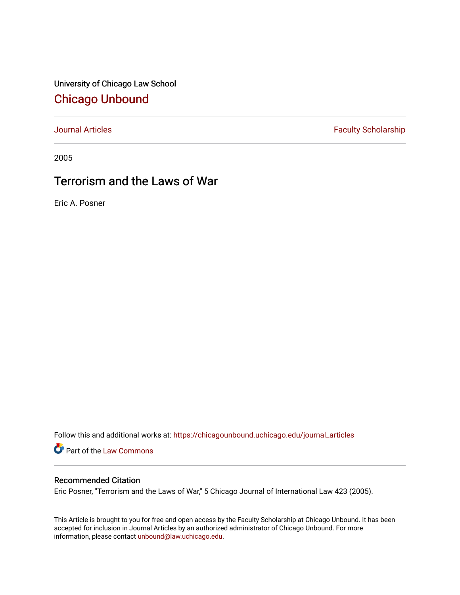University of Chicago Law School [Chicago Unbound](https://chicagounbound.uchicago.edu/)

[Journal Articles](https://chicagounbound.uchicago.edu/journal_articles) **Faculty Scholarship Faculty Scholarship** 

2005

# Terrorism and the Laws of War

Eric A. Posner

Follow this and additional works at: [https://chicagounbound.uchicago.edu/journal\\_articles](https://chicagounbound.uchicago.edu/journal_articles?utm_source=chicagounbound.uchicago.edu%2Fjournal_articles%2F1763&utm_medium=PDF&utm_campaign=PDFCoverPages) 

Part of the [Law Commons](http://network.bepress.com/hgg/discipline/578?utm_source=chicagounbound.uchicago.edu%2Fjournal_articles%2F1763&utm_medium=PDF&utm_campaign=PDFCoverPages)

## Recommended Citation

Eric Posner, "Terrorism and the Laws of War," 5 Chicago Journal of International Law 423 (2005).

This Article is brought to you for free and open access by the Faculty Scholarship at Chicago Unbound. It has been accepted for inclusion in Journal Articles by an authorized administrator of Chicago Unbound. For more information, please contact [unbound@law.uchicago.edu](mailto:unbound@law.uchicago.edu).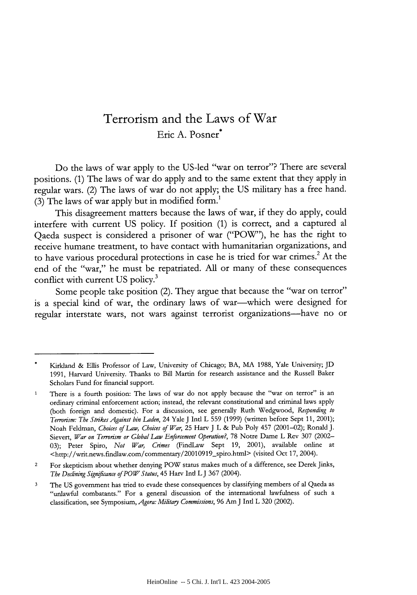# Terrorism and the Laws of War Eric A. Posner\*

Do the laws of war apply to the US-led "war on terror"? There are several positions. (1) The laws of war do apply and to the same extent that they apply in regular wars. (2) The laws of war do not apply; the US military has a free hand. (3) The laws of war apply but in modified form.'

This disagreement matters because the laws of war, if they do apply, could interfere with current US policy. If position (1) is correct, and a captured al Qaeda suspect is considered a prisoner of war ("POW"), he has the right to receive humane treatment, to have contact with humanitarian organizations, and to have various procedural protections in case he is tried for war crimes.<sup>2</sup> At the end of the "war," he must be repatriated. All or many of these consequences conflict with current US policy.<sup>3</sup>

Some people take position (2). They argue that because the "war on terror" is a special kind of war, the ordinary laws of war-which were designed for regular interstate wars, not wars against terrorist organizations-have no or

Kirkland & Ellis Professor of Law, University of Chicago; BA, MA 1988, Yale University; JD 1991, Harvard University. Thanks to Bill Martin for research assistance and the Russell Baker Scholars Fund for financial support.

<sup>&</sup>lt;sup>1</sup> There is a fourth position: The laws of war do not apply because the "war on terror" is an ordinary criminal enforcement action; instead, the relevant constitutional and criminal laws apply (both foreign and domestic). For a discussion, see generally Ruth Wedgwood, *Responding to Terrorism: The Strikes Against bin Laden,* 24 Yale J Intl L 559 (1999) (written before Sept 11, 2001); Noah Feldman, *Choices of Law, Choices of War,* 25 Harv J L & Pub Poly 457 (2001-02); Ronald J. Sievert, *War on Terrorism or Global Law Enforcement Operation?,* 78 Notre Dame L Rev 307 (2002- 03); Peter Spiro, *Not War, Crimes* (FindLaw Sept 19, 2001), available online at <http://writ.news.findlaw.com/commentary/20010919-spiro.htnil> (visited Oct **17,** 2004).

<sup>2</sup> For skepticism about whether denying POW status makes much of a difference, see Derek Jinks, *The Declining Significance of POW Status,* 45 Harv Ind L **J** 367 (2004).

**<sup>3</sup>** The US government has tried to evade these consequences by classifying members of al Qaeda as "unlawful combatants." For a general discussion of the international lawfulness of such a classification, see Symposium, *Agora: Military Commissions,* 96 Am J Intl L 320 (2002).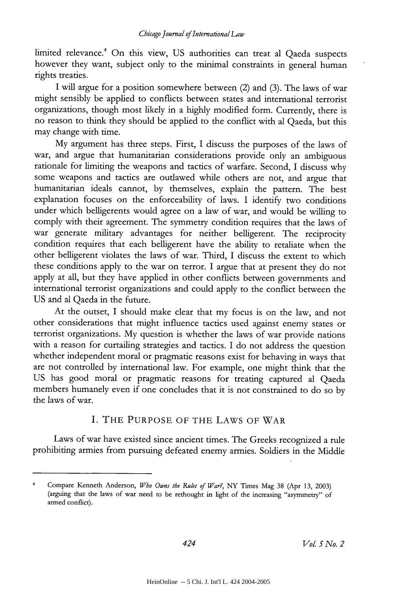limited relevance.<sup>4</sup> On this view, US authorities can treat al Qaeda suspects however they want, subject only to the minimal constraints in general human rights treaties.

I will argue for a position somewhere between (2) and (3). The laws of war might sensibly be applied to conflicts between states and international terrorist organizations, though most likely in a highly modified form. Currently, there is no reason to think they should be applied to the conflict with al Qaeda, but this may change with time.

My argument has three steps. First, I discuss the purposes of the laws of war, and argue that humanitarian considerations provide only an ambiguous rationale for limiting the weapons and tactics of warfare. Second, I discuss why some weapons and tactics are outlawed while others are not, and argue that humanitarian ideals cannot, by themselves, explain the pattern. The best explanation focuses on the enforceability of laws. I identify two conditions under which belligerents would agree on a law of war, and would be willing to comply with their agreement. The symmetry condition requires that the laws of war generate military advantages for neither belligerent. The reciprocity condition requires that each belligerent have the ability to retaliate when the other belligerent violates the laws of war. Third, I discuss the extent to which these conditions apply to the war on terror. I argue that at present they do not apply at all, but they have applied in other conflicts between governments and international terrorist organizations and could apply to the conflict between the US and al Qaeda in the future.

At the outset, I should make clear that my focus is on the law, and not other considerations that might influence tactics used against enemy states or terrorist organizations. My question is whether the laws of war provide nations with a reason for curtailing strategies and tactics. I do not address the question whether independent moral or pragmatic reasons exist for behaving in ways that are not controlled by international law. For example, one might think that the US has good moral or pragmatic reasons for treating captured al Qaeda members humanely even if one concludes that it is not constrained to do so by the laws of war.

## I. THE PURPOSE OF THE LAWS OF WAR

Laws of war have existed since ancient times. The Greeks recognized a rule prohibiting armies from pursuing defeated enemy armies. Soldiers in the Middle

<sup>4</sup> Compare Kenneth Anderson, *Who Owns the Rules of War?,* NY Times Mag 38 (Apr 13, 2003) (arguing that the laws of war need to be rethought in light of the increasing "asymmetry" of armed conflict).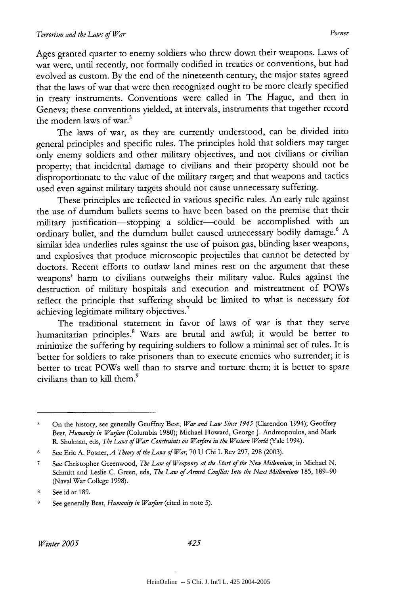Ages granted quarter to enemy soldiers who threw down their weapons. Laws of war were, until recently, not formally codified in treaties or conventions, but had evolved as custom. By the end of the nineteenth century, the major states agreed that the laws of war that were then recognized ought to be more clearly specified in treaty instruments. Conventions were called in The Hague, and then in Geneva; these conventions yielded, at intervals, instruments that together record the modern laws of war.<sup>5</sup>

The laws of war, as they are currently understood, can be divided into general principles and specific rules. The principles hold that soldiers may target only enemy soldiers and other military objectives, and not civilians or civilian property; that incidental damage to civilians and their property should not be disproportionate to the value of the military target; and that weapons and tactics used even against military targets should not cause unnecessary suffering.

These principles are reflected in various specific rules. An early rule against the use of dumdum bullets seems to have been based on the premise that their military justification-stopping a soldier-could be accomplished with an ordinary bullet, and the dumdum bullet caused unnecessary bodily damage.<sup>6</sup> A similar idea underlies rules against the use of poison gas, blinding laser weapons, and explosives that produce microscopic projectiles that cannot be detected by doctors. Recent efforts to outlaw land mines rest on the argument that these weapons' harm to civilians outweighs their military value. Rules against the destruction of military hospitals and execution and mistreatment of POWs reflect the principle that suffering should be limited to what is necessary for achieving legitimate military objectives.<sup>7</sup>

The traditional statement in favor of laws of war is that they serve humanitarian principles.<sup>8</sup> Wars are brutal and awful; it would be better to minimize the suffering by requiring soldiers to follow a minimal set of rules. It is better for soldiers to take prisoners than to execute enemies who surrender; it is better to treat POWs well than to starve and torture them; it is better to spare civilians than to kill them.<sup>9</sup>

**<sup>5</sup>** On the history, see generally Geoffrey Best, *War and Law* Since 1945 (Clarendon 1994); Geoffrey Best, *Humanity in Warfare* (Columbia 1980); Michael Howard, George J. Andreopoulos, and Mark R. Shulman, eds, *The Laws of War: Constraints on Warfare in the Western World* (Yale 1994).

<sup>6</sup> See Eric A. Posner, *A Theogy of the Laws of War,* 70 U Chi L Rev 297, 298 (2003).

**<sup>7</sup>** See Christopher Greenwood, *The Law of Weaponry at the Start of the New Millennium,* in Michael N. Schmitt and Leslie C. Green, eds, *The Law of Armed Conflict: Into the Next Millennium* 185, 189-90 (Naval War College 1998).

<sup>8</sup> See id at 189.

<sup>&</sup>lt;sup>9</sup> See generally Best, *Humanity in Warfare* (cited in note 5).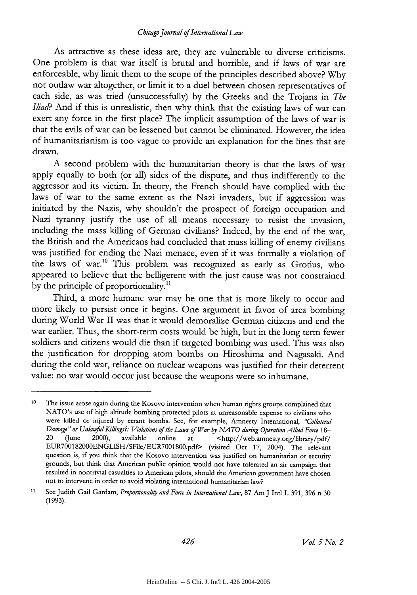#### *Chicago Journal of International Law*

As attractive as these ideas are, they are vulnerable to diverse criticisms. One problem is that war itself is brutal and horrible, and if laws of war are enforceable, why limit them to the scope of the principles described above? Why not outlaw war altogether, or limit it to a duel between chosen representatives of each side, as was tried (unsuccessfully) by the Greeks and the Trojans in *The Iliad?* And if this is unrealistic, then why think that the existing laws of war can exert any force in the first place? The implicit assumption of the laws of war is that the evils of war can be lessened but cannot be eliminated. However, the idea of humanitarianism is too vague to provide an explanation for the lines that are drawn.

A second problem with the humanitarian theory is that the laws of war apply equally to both (or all) sides of the dispute, and thus indifferently to the aggressor and its victim. In theory, the French should have complied with the laws of war to the same extent as the Nazi invaders, but if aggression was initiated by the Nazis, why shouldn't the prospect of foreign occupation and Nazi tyranny justify the use of all means necessary to resist the invasion, including the mass killing of German civilians? Indeed, by the end of the war, the British and the Americans had concluded that mass killing of enemy civilians was justified for ending the Nazi menace, even if it was formally a violation of the laws of war.<sup>10</sup> This problem was recognized as early as Grotius, who appeared to believe that the belligerent with the just cause was not constrained by the principle of proportionality.<sup>11</sup>

Third, a more humane war may be one that is more likely to occur and more likely to persist once it begins. One argument in favor of area bombing during World War II was that it would demoralize German citizens and end the war earlier. Thus, the short-term costs would be high, but in the long term fewer soldiers and citizens would die than if targeted bombing was used. This was also the justification for dropping atom bombs on Hiroshima and Nagasaki. And during the cold war, reliance on nuclear weapons was justified for their deterrent value: no war would occur just because the weapons were so inhumane.

<sup>&</sup>lt;sup>10</sup> The issue arose again during the Kosovo intervention when human rights groups complained that NATO's use of high altitude bombing protected pilots at unreasonable expense to civilians who were killed or injured by errant bombs. See, for example, Amnesty International, *"Collateral Damage" or Unlawful Killings?. Violations of the Laws of War by NATO during Operation Allied Force 18-* 20 (June 2000), available online at <http://web.amnesty.org/library/pdf/ EUR700182000ENGLISH/\$File/EUR7001800.pdf> (visited Oct 17, 2004). The relevant question is, if you think that the Kosovo intervention was justified on humanitarian or security grounds, but think that American public opinion would not have tolerated an air campaign that resulted in nontrivial casualties to American pilots, should the American government have chosen not to intervene in order to avoid violating international humanitarian law?

**<sup>11</sup>**See Judith Gail Gardam, *Proporlionaliy and Force in International Law,* 87 Am J Ind L 391, **396** n 30 (1993).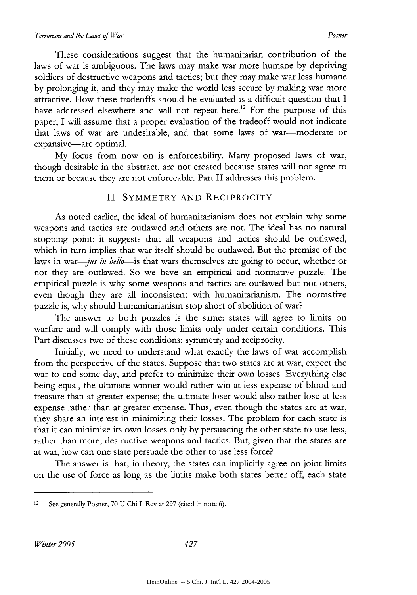These considerations suggest that the humanitarian contribution of the laws of war is ambiguous. The laws may make war more humane by depriving soldiers of destructive weapons and tactics; but they may make war less humane by prolonging it, and they may make the world less secure by making war more attractive. How these tradeoffs should be evaluated is a difficult question that I have addressed elsewhere and will not repeat here.<sup>12</sup> For the purpose of this paper, I will assume that a proper evaluation of the tradeoff would not indicate that laws of war are undesirable, and that some laws of war-moderate or expansive-are optimal.

My focus from now on is enforceability. Many proposed laws of war, though desirable in the abstract, are not created because states will not agree to them or because they are not enforceable. Part II addresses this problem.

## II. SYMMETRY AND RECIPROCITY

As noted earlier, the ideal of humanitarianism does not explain why some weapons and tactics are outlawed and others are not. The ideal has no natural stopping point: it suggests that all weapons and tactics should be outlawed, which in turn implies that war itself should be outlawed. But the premise of the laws in war-jus in bello-is that wars themselves are going to occur, whether or not they are outlawed. So we have an empirical and normative puzzle. The empirical puzzle is why some weapons and tactics are outlawed but not others, even though they are all inconsistent with humanitarianism. The normative puzzle is, why should humanitarianism stop short of abolition of war?

The answer to both puzzles is the same: states will agree to limits on warfare and will comply with those limits only under certain conditions. This Part discusses two of these conditions: symmetry and reciprocity.

Initially, we need to understand what exactly the laws of war accomplish from the perspective of the states. Suppose that two states are at war, expect the war to end some day, and prefer to minimize their own losses. Everything else being equal, the ultimate winner would rather win at less expense of blood and treasure than at greater expense; the ultimate loser would also rather lose at less expense rather than at greater expense. Thus, even though the states are at war, they share an interest in minimizing their losses. The problem for each state is that it can minimize its own losses only by persuading the other state to use less, rather than more, destructive weapons and tactics. But, given that the states are at war, how can one state persuade the other to use less force?

The answer is that, in theory, the states can implicitly agree on joint limits on the use of force as long as the limits make both states better off, each state

<sup>12</sup> See generally Posner, 70 U Chi L Rev at 297 (cited in note 6).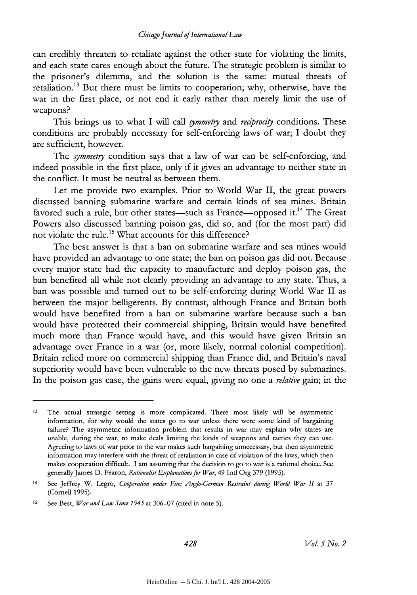can credibly threaten to retaliate against the other state for violating the limits, and each state cares enough about the future. The strategic problem is similar to the prisoner's dilemma, and the solution is the same: mutual threats of retaliation.<sup>13</sup> But there must be limits to cooperation; why, otherwise, have the war in the first place, or not end it early rather than merely limit the use of weapons?

This brings us to what I will call *symmetry* and *reciprocity* conditions. These conditions are probably necessary for self-enforcing laws of war; I doubt they are sufficient, however.

The *ymmety* condition says that a law of war can be self-enforcing, and indeed possible in the first place, only if it gives an advantage to neither state in the conflict. It must be neutral as between them.

Let me provide two examples. Prior to World War II, the great powers discussed banning submarine warfare and certain kinds of sea mines. Britain favored such a rule, but other states—such as France—opposed it.<sup>14</sup> The Great Powers also discussed banning poison gas, did so, and (for the most part) did not violate the rule.<sup>15</sup> What accounts for this difference?

The best answer is that a ban on submarine warfare and sea mines would have provided an advantage to one state; the ban on poison gas did not. Because every major state had the capacity to manufacture and deploy poison gas, the ban benefited all while not clearly providing an advantage to any state. Thus, a ban was possible and turned out to be self-enforcing during World War II as between the major belligerents. **By** contrast, although France and Britain both would have benefited from a ban on submarine warfare because such a ban would have protected their commercial shipping, Britain would have benefited much more than France would have, and this would have given Britain an advantage over France in a war (or, more likely, normal colonial competition). Britain relied more on commercial shipping than France did, and Britain's naval superiority would have been vulnerable to the new threats posed by submarines. In the poison gas case, the gains were equal, giving no one a *relative* gain; in the

**<sup>13</sup>** The actual strategic setting is more complicated. There most likely will be asymmetric information, for why would the states go to war unless there were some kind of bargaining failure? The asymmetric information problem that results in war may explain why states are unable, during the war, to make deals limiting the kinds of weapons and tactics they can use. Agreeing to laws of war prior to the war makes such bargaining unnecessary, but then asymmetric information may interfere with the threat of retaliation in case of violation of the laws, which then makes cooperation difficult. I am assuming that the decision to go to war is a rational choice. See generally James **D.** Fearon, *Rationalist Explanations for War,* 49 **Ind** Org **379 (1995).**

<sup>14</sup> See Jeffrey W. Legro, *Cooperation under Fire: Anglo-German Restraint during World War II* at 37 (Cornell **1995).**

**<sup>15</sup>** See Best, *War and Law Since 1945* at 306-07 (cited in note **5).**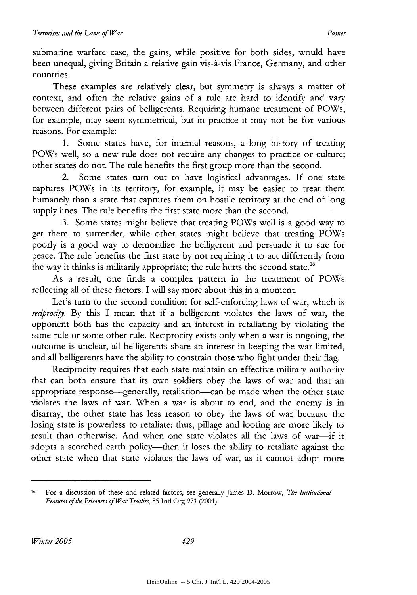submarine warfare case, the gains, while positive for both sides, would have been unequal, giving Britain a relative gain vis-à-vis France, Germany, and other countries.

These examples are relatively clear, but symmetry is always a matter of context, and often the relative gains of a rule are hard to identify and vary between different pairs of belligerents. Requiring humane treatment of POWs, for example, may seem symmetrical, but in practice it may not be for various reasons. For example:

1. Some states have, for internal reasons, a long history of treating POWs well, so a new rule does not require any changes to practice or culture; other states do not. The rule benefits the first group more than the second.

2. Some states turn out to have logistical advantages. If one state captures POWs in its territory, for example, it may be easier to treat them humanely than a state that captures them on hostile territory at the end of long supply lines. The rule benefits the first state more than the second.

3. Some states might believe that treating POWs well is a good way to get them to surrender, while other states might believe that treating POWs poorly is a good way to demoralize the belligerent and persuade it to sue for peace. The rule benefits the first state by not requiring it to act differently from the way it thinks is militarily appropriate; the rule hurts the second state.<sup>16</sup>

As a result, one finds a complex pattern in the treatment of POWs reflecting all of these factors. I will say more about this in a moment.

Let's turn to the second condition for self-enforcing laws of war, which is *reeiprodcy.* By this I mean that if a belligerent violates the laws of war, the opponent both has the capacity and an interest in retaliating by violating the same rule or some other rule. Reciprocity exists only when a war is ongoing, the outcome is unclear, all belligerents share an interest in keeping the war limited, and all belligerents have the ability to constrain those who fight under their flag.

Reciprocity requires that each state maintain an effective military authority that can both ensure that its own soldiers obey the laws of war and that an appropriate response-generally, retaliation-can be made when the other state violates the laws of war. When a war is about to end, and the enemy is in disarray, the other state has less reason to obey the laws of war because the losing state is powerless to retaliate: thus, pillage and looting are more likely to result than otherwise. And when one state violates all the laws of war-if it adopts a scorched earth policy-then it loses the ability to retaliate against the other state when that state violates the laws of war, as it cannot adopt more

**<sup>16</sup>**For a discussion of these and related factors, see generally James D. Morrow, *The Institutional Features of the Prisoners of War Treaties,* 55 Intl Org 971 (2001).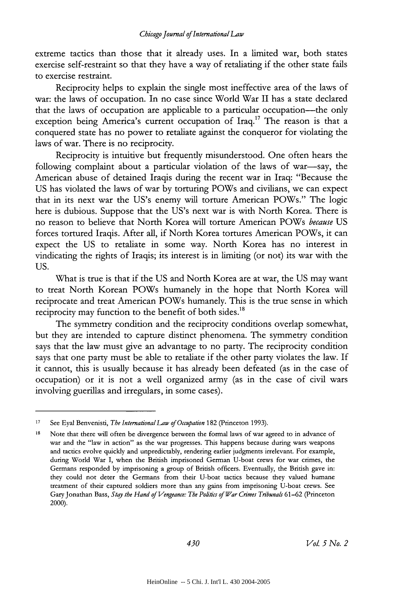extreme tactics than those that it already uses. In a limited war, both states exercise self-restraint so that they have a way of retaliating if the other state fails to exercise restraint.

Reciprocity helps to explain the single most ineffective area of the laws of war: the laws of occupation. In no case since World War II has a state declared that the laws of occupation are applicable to a particular occupation-the only exception being America's current occupation of Iraq.<sup>17</sup> The reason is that a conquered state has no power to retaliate against the conqueror for violating the laws of war. There is no reciprocity.

Reciprocity is intuitive but frequently misunderstood. One often hears the following complaint about a particular violation of the laws of war—say, the American abuse of detained Iraqis during the recent war in Iraq: "Because the US has violated the laws of war by torturing POWs and civilians, we can expect that in its next war the US's enemy will torture American POWs." The logic here is dubious. Suppose that the US's next war is with North Korea. There is no reason to believe that North Korea will torture American POWs *because* US forces tortured Iraqis. After all, if North Korea tortures American POWs, it can expect the **US** to retaliate in some way. North Korea has no interest in vindicating the rights of Iraqis; its interest is in limiting (or not) its war with the **US.**

What is true is that if the **US** and North Korea are at war, the US may want to treat North Korean POWs humanely in the hope that North Korea will reciprocate and treat American POWs humanely. This is the true sense in which reciprocity may function to the benefit of both sides.<sup>18</sup>

The symmetry condition and the reciprocity conditions overlap somewhat, but they are intended to capture distinct phenomena. The symmetry condition says that the law must give an advantage to no party. The reciprocity condition says that one party must be able to retaliate if the other party violates the law. If it cannot, this is usually because it has already been defeated (as in the case of occupation) or it is not a well organized army (as in the case of civil wars involving guerillas and irregulars, in some cases).

<sup>17</sup> See Eyal Benvenisti, *The InternationalLaw of Occupation* 182 (Princeton 1993).

**<sup>18</sup>** Note that there will often be divergence between the formal laws of war agreed to in advance of war and the "law in action" as the war progresses. This happens because during wars weapons and tactics evolve quickly and unpredictably, rendering earlier judgments irrelevant. For example, during World War I, when the British imprisoned German U-boat crews for war crimes, the Germans responded by imprisoning a group of British officers. Eventually, the British gave **in:** they could not deter the Germans from their U-boat tactics because they valued humane treatment of their captured soldiers more than any gains from imprisoning U-boat crews. See Gary Jonathan Bass, *Stay the Hand of Vengeance: The Politics of War Crimes Tribunals* 61-62 (Princeton 2000).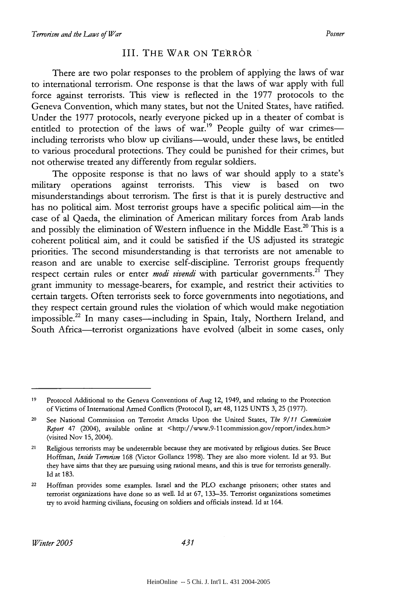## III. THE WAR ON TERROR

There are two polar responses to the problem of applying the laws of war to international terrorism. One response is that the laws of war apply with full force against terrorists. This view is reflected in the 1977 protocols to the Geneva Convention, which many states, but not the United States, have ratified. Under the 1977 protocols, nearly everyone picked up in a theater of combat is entitled to protection of the laws of war.<sup>19</sup> People guilty of war crimesincluding terrorists who blow up civilians--would, under these laws, be entitled to various procedural protections. They could be punished for their crimes, but not otherwise treated any differently from regular soldiers.

The opposite response is that no laws of war should apply to a state's military operations against terrorists. This view is based on two misunderstandings about terrorism. The first is that it is purely destructive and has no political aim. Most terrorist groups have a specific political aim-in the case of al Qaeda, the elimination of American military forces from Arab lands and possibly the elimination of Western influence in the Middle East.<sup>20</sup> This is a coherent political aim, and it could be satisfied if the US adjusted its strategic priorities. The second misunderstanding is that terrorists are not amenable to reason and are unable to exercise self-discipline. Terrorist groups frequently respect certain rules or enter *modi vivendi* with particular governments.<sup>21</sup> They grant immunity to message-bearers, for example, and restrict their activities to certain targets. Often terrorists seek to force governments into negotiations, and they respect certain ground rules the violation of which would make negotiation impossible.<sup>22</sup> In many cases—including in Spain, Italy, Northern Ireland, and South Africa-terrorist organizations have evolved (albeit in some cases, only

**<sup>19</sup>** Protocol Additional to the Geneva Conventions of Aug 12, 1949, and relating to the Protection of Victims of International Armed Conflicts (Protocol I), art 48, 1125 UNTS 3, 25 (1977).

<sup>20</sup>See National Commission on Terrorist Attacks Upon the United States, *The 9/11 Commission Report* 47 (2004), available online at <http://www.9-llcommission.gov/report/index.htm> (visited Nov 15, 2004).

<sup>21</sup> Religious terrorists may be undeterrable because they are motivated by religious duties. See Bruce Hoffman, *Inside Terrorism* 168 (Victor Gollancz 1998). They are also more violent. Id at 93. But they have aims that they are pursuing using rational means, and this is true for terrorists generally. Id at 183.

<sup>22</sup> Hoffman provides some examples. Israel and the PLO exchange prisoners; other states and terrorist organizations have done so as well. Id at 67, 133-35. Terrorist organizations sometimes try to avoid harming civilians, focusing on soldiers and officials instead. Id at 164.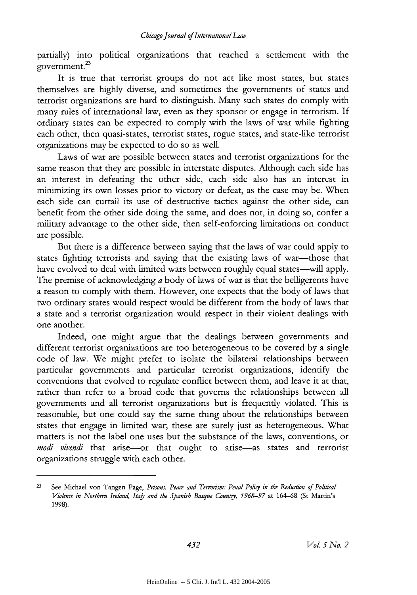partially) into political organizations that reached a settlement with the government.<sup>23</sup>

It is true that terrorist groups do not act like most states, but states themselves are highly diverse, and sometimes the governments of states and terrorist organizations are hard to distinguish. Many such states do comply with many rules of international law, even as they sponsor or engage in terrorism. If ordinary states can be expected to comply with the laws of war while fighting each other, then quasi-states, terrorist states, rogue states, and state-like terrorist organizations may be expected to do so as well.

Laws of war are possible between states and terrorist organizations for the same reason that they are possible in interstate disputes. Although each side has an interest in defeating the other side, each side also has an interest in minimizing its own losses prior to victory or defeat, as the case may be. When each side can curtail its use of destructive tactics against the other side, can benefit from the other side doing the same, and does not, in doing so, confer a military advantage to the other side, then self-enforcing limitations on conduct are possible.

But there is a difference between saying that the laws of war could apply to states fighting terrorists and saying that the existing laws of war—those that have evolved to deal with limited wars between roughly equal states—will apply. The premise of acknowledging a body of laws of war is that the belligerents have a reason to comply with them. However, one expects that the body of laws that two ordinary states would respect would be different from the body of laws that a state and a terrorist organization would respect in their violent dealings with one another.

Indeed, one might argue that the dealings between governments and different terrorist organizations are too heterogeneous to be covered by a single code of law. We might prefer to isolate the bilateral relationships between particular governments and particular terrorist organizations, identify the conventions that evolved to regulate conflict between them, and leave it at that, rather than refer to a broad code that governs the relationships between all governments and all terrorist organizations but is frequently violated. This is reasonable, but one could say the same thing about the relationships between states that engage in limited war; these are surely just as heterogeneous. What matters is not the label one uses but the substance of the laws, conventions, or *modi vivendi* that arise-or that ought to arise-as states and terrorist organizations struggle with each other.

**<sup>23</sup>**See Michael von Tangen Page, *Prisons, Peace and Terrorism: Penal Policy in the Reduction of Political Violence in Northern Ireland, Italy and the Spanish Basque County, 1968-97* at 164-68 (St Martin's 1998).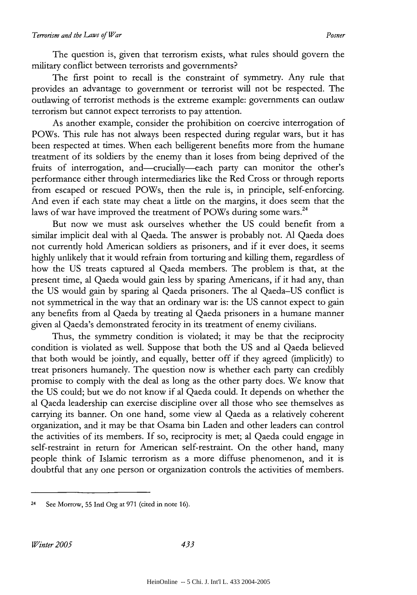The question is, given that terrorism exists, what rules should govern the military conflict between terrorists and governments?

The first point to recall is the constraint of symmetry. Any rule that provides an advantage to government or terrorist will not be respected. The outlawing of terrorist methods is the extreme example: governments can outlaw terrorism but cannot expect terrorists to pay attention.

As another example, consider the prohibition on coercive interrogation of POWs. This rule has not always been respected during regular wars, but it has been respected at times. When each belligerent benefits more from the humane treatment of its soldiers by the enemy than it loses from being deprived of the fruits of interrogation, and—crucially—each party can monitor the other's performance either through intermediaries like the Red Cross or through reports from escaped or rescued POWs, then the rule is, in principle, self-enforcing. And even if each state may cheat a little on the margins, it does seem that the laws of war have improved the treatment of POWs during some wars.<sup>24</sup>

But now we must ask ourselves whether the US could benefit from a similar implicit deal with al Qaeda. The answer is probably not. **Al** Qaeda does not currently hold American soldiers as prisoners, and if it ever does, it seems highly unlikely that it would refrain from torturing and killing them, regardless of how the US treats captured al Qaeda members. The problem is that, at the present time, al Qaeda would gain less by sparing Americans, if it had any, than the US would gain by sparing al Qaeda prisoners. The al Qaeda-US conflict is not symmetrical in the way that an ordinary war is: the US cannot expect to gain any benefits from al Qaeda by treating al Qaeda prisoners in a humane manner given al Qaeda's demonstrated ferocity in its treatment of enemy civilians.

Thus, the symmetry condition is violated; it may be that the reciprocity condition is violated as well. Suppose that both the US and al Qaeda believed that both would be jointly, and equally, better off if they agreed (implicitly) to treat prisoners humanely. The question now is whether each party can credibly promise to comply with the deal as long as the other party does. We know that the US could; but we do not know if al Qaeda could. It depends on whether the al Qaeda leadership can exercise discipline over all those who see themselves as carrying its banner. On one hand, some view al Qaeda as a relatively coherent organization, and it may be that Osama bin Laden and other leaders can control the activities of its members. If so, reciprocity is met; al Qaeda could engage in self-restraint in return for American self-restraint. On the other hand, many people think of Islamic terrorism as a more diffuse phenomenon, and it is doubtful that any one person or organization controls the activities of members.

<sup>24</sup> See Morrow, 55 Ind Org at 971 (cited in note 16).